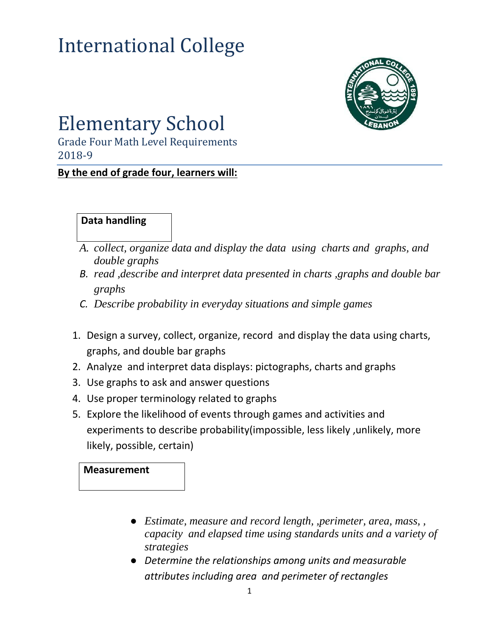# International College



# Elementary School

Grade Four Math Level Requirements 2018-9

**By the end of grade four, learners will:**

#### **Data handling**

- *A. collect, organize data and display the data using charts and graphs, and double graphs*
- *B. read ,describe and interpret data presented in charts ,graphs and double bar graphs*
- *C. Describe probability in everyday situations and simple games*
- 1. Design a survey, collect, organize, record and display the data using charts, graphs, and double bar graphs
- 2. Analyze and interpret data displays: pictographs, charts and graphs
- 3. Use graphs to ask and answer questions
- 4. Use proper terminology related to graphs
- 5. Explore the likelihood of events through games and activities and experiments to describe probability(impossible, less likely ,unlikely, more likely, possible, certain)

#### **Measurement**

- *Estimate, measure and record length, ,perimeter, area, mass, , capacity and elapsed time using standards units and a variety of strategies*
- *Determine the relationships among units and measurable attributes including area and perimeter of rectangles*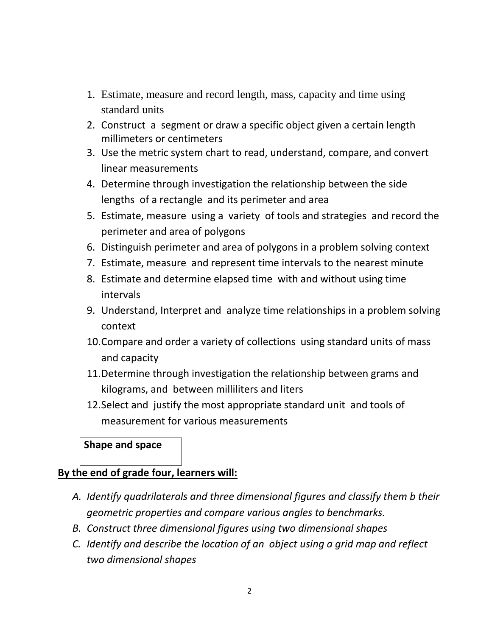- 1. Estimate, measure and record length, mass, capacity and time using standard units
- 2. Construct a segment or draw a specific object given a certain length millimeters or centimeters
- 3. Use the metric system chart to read, understand, compare, and convert linear measurements
- 4. Determine through investigation the relationship between the side lengths of a rectangle and its perimeter and area
- 5. Estimate, measure using a variety of tools and strategies and record the perimeter and area of polygons
- 6. Distinguish perimeter and area of polygons in a problem solving context
- 7. Estimate, measure and represent time intervals to the nearest minute
- 8. Estimate and determine elapsed time with and without using time intervals
- 9. Understand, Interpret and analyze time relationships in a problem solving context
- 10.Compare and order a variety of collections using standard units of mass and capacity
- 11.Determine through investigation the relationship between grams and kilograms, and between milliliters and liters
- 12.Select and justify the most appropriate standard unit and tools of measurement for various measurements

#### **Shape and space**

#### **By the end of grade four, learners will:**

- *A. Identify quadrilaterals and three dimensional figures and classify them b their geometric properties and compare various angles to benchmarks.*
- *B. Construct three dimensional figures using two dimensional shapes*
- *C. Identify and describe the location of an object using a grid map and reflect two dimensional shapes*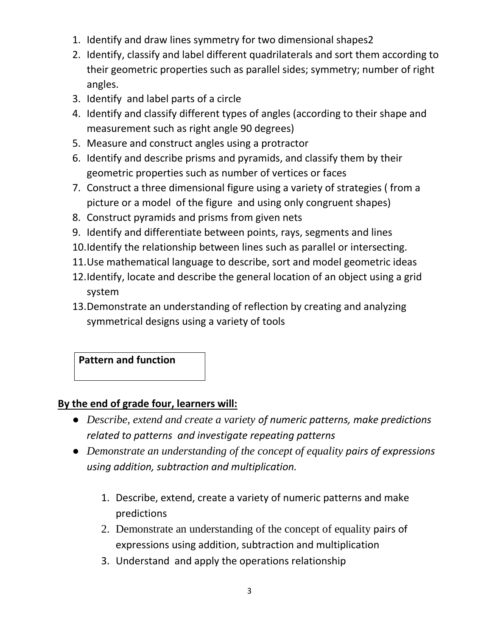- 1. Identify and draw lines symmetry for two dimensional shapes2
- 2. Identify, classify and label different quadrilaterals and sort them according to their geometric properties such as parallel sides; symmetry; number of right angles.
- 3. Identify and label parts of a circle
- 4. Identify and classify different types of angles (according to their shape and measurement such as right angle 90 degrees)
- 5. Measure and construct angles using a protractor
- 6. Identify and describe prisms and pyramids, and classify them by their geometric properties such as number of vertices or faces
- 7. Construct a three dimensional figure using a variety of strategies ( from a picture or a model of the figure and using only congruent shapes)
- 8. Construct pyramids and prisms from given nets
- 9. Identify and differentiate between points, rays, segments and lines
- 10.Identify the relationship between lines such as parallel or intersecting.
- 11.Use mathematical language to describe, sort and model geometric ideas
- 12.Identify, locate and describe the general location of an object using a grid system
- 13.Demonstrate an understanding of reflection by creating and analyzing symmetrical designs using a variety of tools

**Pattern and function**

# **By the end of grade four, learners will:**

- *Describe, extend and create a variety of numeric patterns, make predictions related to patterns and investigate repeating patterns*
- *Demonstrate an understanding of the concept of equality pairs of expressions using addition, subtraction and multiplication.*
	- 1. Describe, extend, create a variety of numeric patterns and make predictions
	- 2. Demonstrate an understanding of the concept of equality pairs of expressions using addition, subtraction and multiplication
	- 3. Understand and apply the operations relationship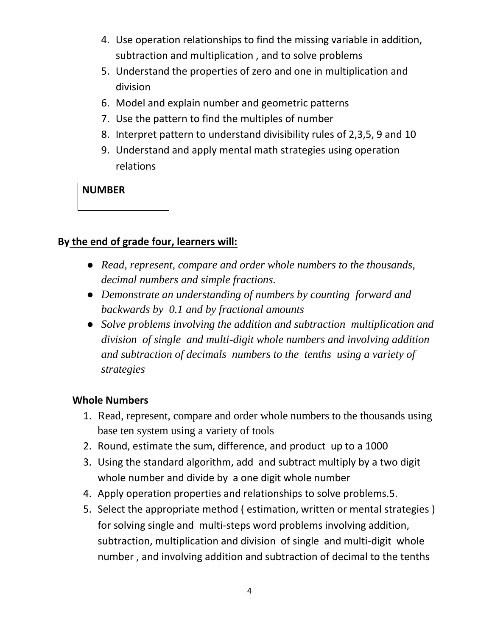- 4. Use operation relationships to find the missing variable in addition, subtraction and multiplication , and to solve problems
- 5. Understand the properties of zero and one in multiplication and division
- 6. Model and explain number and geometric patterns
- 7. Use the pattern to find the multiples of number
- 8. Interpret pattern to understand divisibility rules of 2,3,5, 9 and 10
- 9. Understand and apply mental math strategies using operation relations

## **NUMBER**

## **By the end of grade four, learners will:**

- *Read, represent, compare and order whole numbers to the thousands, decimal numbers and simple fractions.*
- *Demonstrate an understanding of numbers by counting forward and backwards by 0.1 and by fractional amounts*
- *Solve problems involving the addition and subtraction multiplication and division of single and multi-digit whole numbers and involving addition and subtraction of decimals numbers to the tenths using a variety of strategies*

#### **Whole Numbers**

- 1. Read, represent, compare and order whole numbers to the thousands using base ten system using a variety of tools
- 2. Round, estimate the sum, difference, and product up to a 1000
- 3. Using the standard algorithm, add and subtract multiply by a two digit whole number and divide by a one digit whole number
- 4. Apply operation properties and relationships to solve problems.5.
- 5. Select the appropriate method ( estimation, written or mental strategies ) for solving single and multi-steps word problems involving addition, subtraction, multiplication and division of single and multi-digit whole number , and involving addition and subtraction of decimal to the tenths